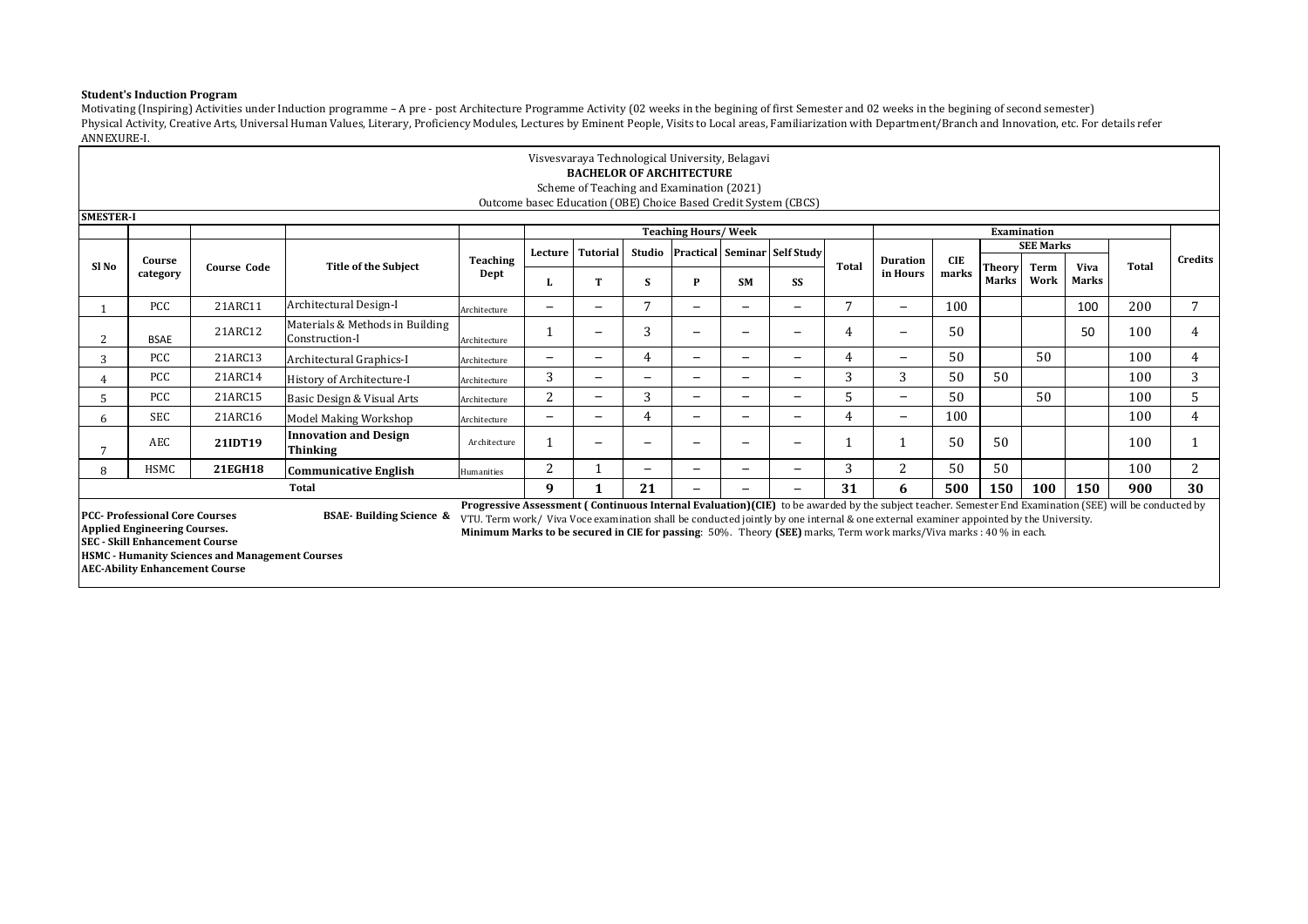## **Student's Induction Program**

Motivating (Inspiring) Activities under Induction programme – A pre - post Architecture Programme Activity (02 weeks in the begining of first Semester and 02 weeks in the begining of second semester) Physical Activity, Creative Arts, Universal Human Values, Literary, Proficiency Modules, Lectures by Eminent People, Visits to Local areas, Familiarization with Department/Branch and Innovation, etc. For details refer ANNEXURE-I.

|                                                                                                                                                                                                                                            | Visvesvaraya Technological University, Belagavi<br><b>BACHELOR OF ARCHITECTURE</b><br>Scheme of Teaching and Examination (2021)<br>Outcome basec Education (OBE) Choice Based Credit System (CBCS)                                                                                                                                                                                                                                                                                                                                                                                                                                                                                       |                    |                                                 |                         |                          |                          |    |                            |                          |                                     |              |                             |                     |               |                    |              |       |         |
|--------------------------------------------------------------------------------------------------------------------------------------------------------------------------------------------------------------------------------------------|------------------------------------------------------------------------------------------------------------------------------------------------------------------------------------------------------------------------------------------------------------------------------------------------------------------------------------------------------------------------------------------------------------------------------------------------------------------------------------------------------------------------------------------------------------------------------------------------------------------------------------------------------------------------------------------|--------------------|-------------------------------------------------|-------------------------|--------------------------|--------------------------|----|----------------------------|--------------------------|-------------------------------------|--------------|-----------------------------|---------------------|---------------|--------------------|--------------|-------|---------|
|                                                                                                                                                                                                                                            |                                                                                                                                                                                                                                                                                                                                                                                                                                                                                                                                                                                                                                                                                          |                    |                                                 |                         |                          |                          |    |                            |                          |                                     |              |                             |                     |               |                    |              |       |         |
| <b>SMESTER-I</b>                                                                                                                                                                                                                           |                                                                                                                                                                                                                                                                                                                                                                                                                                                                                                                                                                                                                                                                                          |                    |                                                 |                         |                          |                          |    |                            |                          |                                     |              |                             |                     |               |                    |              |       |         |
|                                                                                                                                                                                                                                            |                                                                                                                                                                                                                                                                                                                                                                                                                                                                                                                                                                                                                                                                                          |                    |                                                 |                         |                          |                          |    | <b>Teaching Hours/Week</b> |                          |                                     |              |                             |                     |               | <b>Examination</b> |              |       |         |
|                                                                                                                                                                                                                                            |                                                                                                                                                                                                                                                                                                                                                                                                                                                                                                                                                                                                                                                                                          |                    |                                                 |                         | Lecture                  | <b>Tutorial</b>          |    |                            |                          | Studio Practical Seminar Self Study |              |                             |                     |               | <b>SEE Marks</b>   |              |       |         |
| SI No                                                                                                                                                                                                                                      | Course<br>category                                                                                                                                                                                                                                                                                                                                                                                                                                                                                                                                                                                                                                                                       | <b>Course Code</b> | <b>Title of the Subiect</b>                     | <b>Teaching</b><br>Dept |                          |                          |    |                            |                          |                                     | <b>Total</b> | <b>Duration</b><br>in Hours | <b>CIE</b><br>marks | <b>Theory</b> | Term               | <b>Viva</b>  | Total | Credits |
|                                                                                                                                                                                                                                            |                                                                                                                                                                                                                                                                                                                                                                                                                                                                                                                                                                                                                                                                                          |                    |                                                 |                         |                          | т                        | S  | P                          | <b>SM</b>                | SS                                  |              |                             |                     | Marks         | Work               | <b>Marks</b> |       |         |
| Architectural Design-I<br>7<br>7<br><b>PCC</b><br>100<br>21ARC11<br>$\qquad \qquad -$<br>$\overline{\phantom{0}}$<br>$\qquad \qquad -$<br>$\overline{\phantom{0}}$<br>$\overline{\phantom{m}}$<br>$\overline{\phantom{0}}$<br>Architecture |                                                                                                                                                                                                                                                                                                                                                                                                                                                                                                                                                                                                                                                                                          |                    |                                                 |                         |                          |                          |    |                            |                          |                                     |              |                             | 100                 | 200           | 7                  |              |       |         |
|                                                                                                                                                                                                                                            | Materials & Methods in Building<br>3<br>50<br>100<br>50<br>21ARC12<br>4<br>4<br>—<br>-<br>$\overline{\phantom{0}}$<br>-<br>Construction-I<br><b>BSAE</b><br>Architecture                                                                                                                                                                                                                                                                                                                                                                                                                                                                                                                 |                    |                                                 |                         |                          |                          |    |                            |                          |                                     |              |                             |                     |               |                    |              |       |         |
| 3                                                                                                                                                                                                                                          | 50<br>50<br>4<br>100<br><b>PCC</b><br>21ARC13<br>4<br>4<br>—<br>$\overline{\phantom{0}}$<br>—<br>$\overline{\phantom{0}}$<br>Architectural Graphics-I<br>—<br>$\overline{\phantom{0}}$<br>Architecture                                                                                                                                                                                                                                                                                                                                                                                                                                                                                   |                    |                                                 |                         |                          |                          |    |                            |                          |                                     |              |                             |                     |               |                    |              |       |         |
|                                                                                                                                                                                                                                            | <b>PCC</b>                                                                                                                                                                                                                                                                                                                                                                                                                                                                                                                                                                                                                                                                               | 21ARC14            | History of Architecture-I                       | Architecture            | 3                        | -                        |    | $\overline{\phantom{0}}$   |                          | $\overline{\phantom{0}}$            | 3            | 3                           | 50                  | 50            |                    |              | 100   | 3       |
|                                                                                                                                                                                                                                            | <b>PCC</b>                                                                                                                                                                                                                                                                                                                                                                                                                                                                                                                                                                                                                                                                               | 21ARC15            | Basic Design & Visual Arts                      | Architecture            | 2                        | $\overline{\phantom{0}}$ | 3  | $\overline{\phantom{0}}$   | $\overline{\phantom{a}}$ | $\overline{\phantom{0}}$            | 5            | $-$                         | 50                  |               | 50                 |              | 100   | 5       |
| 6                                                                                                                                                                                                                                          | <b>SEC</b>                                                                                                                                                                                                                                                                                                                                                                                                                                                                                                                                                                                                                                                                               | 21ARC16            | <b>Model Making Workshop</b>                    | Architecture            | $\overline{\phantom{0}}$ | $\equiv$                 | 4  | $\overline{\phantom{0}}$   | $\overline{\phantom{0}}$ | $\overline{\phantom{0}}$            | 4            | $\overline{\phantom{0}}$    | 100                 |               |                    |              | 100   | 4       |
|                                                                                                                                                                                                                                            | <b>AEC</b>                                                                                                                                                                                                                                                                                                                                                                                                                                                                                                                                                                                                                                                                               | 21IDT19            | <b>Innovation and Design</b><br><b>Thinking</b> | Architecture            |                          | -                        |    | -                          |                          | $\overline{\phantom{0}}$            |              |                             | 50                  | 50            |                    |              | 100   |         |
|                                                                                                                                                                                                                                            | <b>HSMC</b>                                                                                                                                                                                                                                                                                                                                                                                                                                                                                                                                                                                                                                                                              | 21EGH18            | <b>Communicative English</b>                    | Humanities              | 2                        |                          | -  | $\overline{\phantom{0}}$   |                          | $\overline{\phantom{0}}$            | 3            | 2                           | 50                  | 50            |                    |              | 100   | 2       |
|                                                                                                                                                                                                                                            |                                                                                                                                                                                                                                                                                                                                                                                                                                                                                                                                                                                                                                                                                          |                    | <b>Total</b>                                    |                         | 9                        |                          | 21 | $-$                        |                          | $\overline{\phantom{0}}$            | 31           | 6                           | 500                 | 150           | 100                | 150          | 900   | 30      |
|                                                                                                                                                                                                                                            | Progressive Assessment (Continuous Internal Evaluation)(CIE) to be awarded by the subject teacher. Semester End Examination (SEE) will be conducted by<br><b>PCC</b> - Professional Core Courses<br><b>BSAE-Building Science &amp;</b><br>VTU. Term work/ Viva Voce examination shall be conducted jointly by one internal & one external examiner appointed by the University.<br><b>Applied Engineering Courses.</b><br>Minimum Marks to be secured in CIE for passing: 50%. Theory (SEE) marks, Term work marks/Viva marks: 40 % in each.<br><b>SEC - Skill Enhancement Course</b><br><b>HSMC - Humanity Sciences and Management Courses</b><br><b>AEC-Ability Enhancement Course</b> |                    |                                                 |                         |                          |                          |    |                            |                          |                                     |              |                             |                     |               |                    |              |       |         |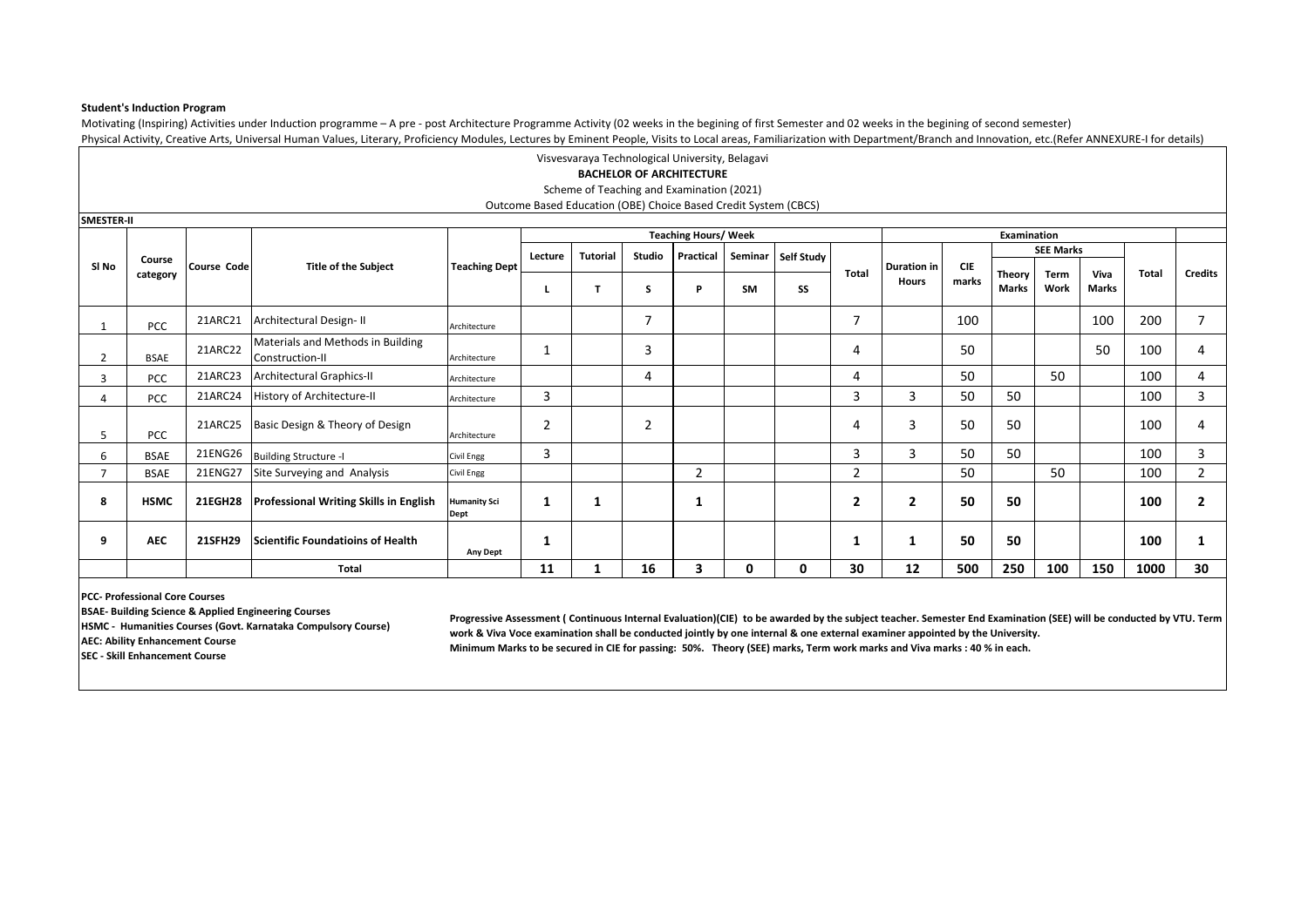## **Student's Induction Program**

Motivating (Inspiring) Activities under Induction programme – A pre - post Architecture Programme Activity (02 weeks in the begining of first Semester and 02 weeks in the begining of second semester) Physical Activity, Creative Arts, Universal Human Values, Literary, Proficiency Modules, Lectures by Eminent People, Visits to Local areas, Familiarization with Department/Branch and Innovation, etc.(Refer ANNEXURE-I for d

|                |             |                    |                                                      |                             |                |                 |                | Visvesvaraya Technological University, Belagavi                                                              |         |            |                |                         |            |             |                  |              |              |                |
|----------------|-------------|--------------------|------------------------------------------------------|-----------------------------|----------------|-----------------|----------------|--------------------------------------------------------------------------------------------------------------|---------|------------|----------------|-------------------------|------------|-------------|------------------|--------------|--------------|----------------|
|                |             |                    |                                                      |                             |                |                 |                | <b>BACHELOR OF ARCHITECTURE</b>                                                                              |         |            |                |                         |            |             |                  |              |              |                |
|                |             |                    |                                                      |                             |                |                 |                | Scheme of Teaching and Examination (2021)<br>Outcome Based Education (OBE) Choice Based Credit System (CBCS) |         |            |                |                         |            |             |                  |              |              |                |
| SMESTER-II     |             |                    |                                                      |                             |                |                 |                |                                                                                                              |         |            |                |                         |            |             |                  |              |              |                |
|                |             |                    |                                                      |                             |                |                 |                | <b>Teaching Hours/ Week</b>                                                                                  |         |            |                |                         |            | Examination |                  |              |              |                |
|                | Course      |                    |                                                      |                             | Lecture        | <b>Tutorial</b> | <b>Studio</b>  | Practical                                                                                                    | Seminar | Self Study |                |                         |            |             | <b>SEE Marks</b> |              |              |                |
| SI No          | category    | <b>Course Code</b> | <b>Title of the Subject</b>                          | <b>Teaching Dept</b>        |                |                 |                |                                                                                                              |         |            | Total          | <b>Duration in</b>      | <b>CIE</b> | Theory      | Term             | Viva         | <b>Total</b> | <b>Credits</b> |
|                |             |                    |                                                      |                             |                |                 | S              | P                                                                                                            | SM      | SS         |                | Hours                   | marks      | Marks       | Work             | <b>Marks</b> |              |                |
|                | <b>PCC</b>  | 21ARC21            | Architectural Design-II                              | Architecture                |                |                 | $\overline{7}$ |                                                                                                              |         |            | $\overline{7}$ |                         | 100        |             |                  | 100          | 200          | $\overline{7}$ |
|                | <b>BSAE</b> | 21ARC22            | Materials and Methods in Building<br>Construction-II | Architecture                | $\mathbf{1}$   |                 | 3              |                                                                                                              |         |            |                |                         | 50         |             |                  | 50           | 100          | 4              |
| $\overline{3}$ | <b>PCC</b>  | 21ARC23            | <b>Architectural Graphics-II</b>                     | Architecture                |                |                 | 4              |                                                                                                              |         |            | 4              |                         | 50         |             | 50               |              | 100          | 4              |
| 4              | PCC         | 21ARC24            | History of Architecture-II                           | Architecture                | 3              |                 |                |                                                                                                              |         |            | 3              | 3                       | 50         | 50          |                  |              | 100          | 3              |
| 5              | <b>PCC</b>  | 21ARC25            | Basic Design & Theory of Design                      | Architecture                | $\overline{2}$ |                 | $\overline{2}$ |                                                                                                              |         |            |                | 3                       | 50         | 50          |                  |              | 100          | 4              |
| 6              | <b>BSAE</b> | 21ENG26            | <b>Building Structure -I</b>                         | Civil Engg                  | 3              |                 |                |                                                                                                              |         |            | 3              | 3                       | 50         | 50          |                  |              | 100          | 3              |
| 7              | <b>BSAE</b> | 21ENG27            | Site Surveying and Analysis                          | Civil Engg                  |                |                 |                | $\overline{2}$                                                                                               |         |            | $\overline{2}$ |                         | 50         |             | 50               |              | 100          | $\overline{2}$ |
| 8              | <b>HSMC</b> | <b>21EGH28</b>     | <b>Professional Writing Skills in English</b>        | <b>Humanity Sci</b><br>Dept | 1              | 1               |                | 1                                                                                                            |         |            | 2              | $\overline{\mathbf{2}}$ | 50         | 50          |                  |              | 100          | $\overline{2}$ |
| 9              | <b>AEC</b>  | 21SFH29            | <b>Scientific Foundatioins of Health</b>             | <b>Any Dept</b>             | 1              |                 |                |                                                                                                              |         |            |                | 1                       | 50         | 50          |                  |              | 100          | 1              |
|                |             |                    | <b>Total</b>                                         |                             | 11             |                 | 16             | 3                                                                                                            | 0       | 0          | 30             | 12                      | 500        | 250         | 100              | 150          | 1000         | 30             |

**PCC- Professional Core Courses**

**BSAE- Building Science & Applied Engineering Courses**

**HSMC - Humanities Courses (Govt. Karnataka Compulsory Course)** 

**AEC: Ability Enhancement Course**

**Progressive Assessment ( Continuous Internal Evaluation)(CIE) to be awarded by the subject teacher. Semester End Examination (SEE) will be conducted by VTU. Term work & Viva Voce examination shall be conducted jointly by one internal & one external examiner appointed by the University. Minimum Marks to be secured in CIE for passing: 50%. Theory (SEE) marks, Term work marks and Viva marks : 40 % in each.**

**SEC - Skill Enhancement Course**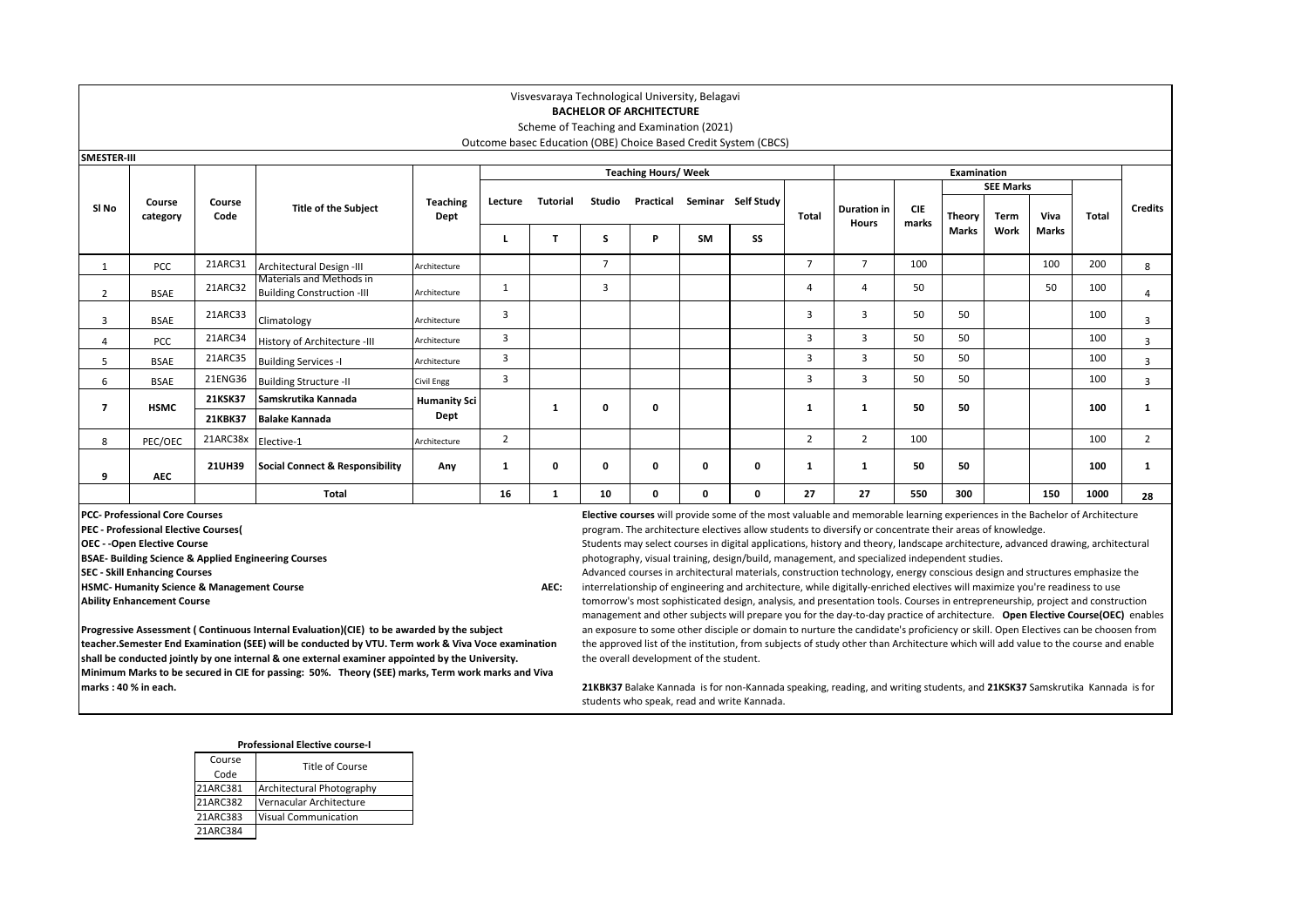## **BACHELOR OF ARCHITECTURE**

Scheme of Teaching and Examination (2021) Outcome basec Education (OBE) Choice Based Credit System (CBCS)

| <b>SMESTER-III</b> |                    |                     |                                                               |                     |         |                 |                |                             |           |                    |                |                      |                     |               |                  |       |       |                |
|--------------------|--------------------|---------------------|---------------------------------------------------------------|---------------------|---------|-----------------|----------------|-----------------------------|-----------|--------------------|----------------|----------------------|---------------------|---------------|------------------|-------|-------|----------------|
|                    |                    |                     |                                                               |                     |         |                 |                | <b>Teaching Hours/ Week</b> |           |                    |                |                      |                     | Examination   |                  |       |       |                |
|                    |                    |                     |                                                               |                     |         |                 |                |                             |           |                    |                |                      |                     |               | <b>SEE Marks</b> |       |       |                |
| SI No              | Course<br>category | Course<br>Code      | <b>Title of the Subject</b>                                   | Teaching<br>Dept    | Lecture | <b>Tutorial</b> | Studio         | Practical                   |           | Seminar Self Study | Total          | Duration in<br>Hours | <b>CIE</b><br>marks | <b>Theory</b> | Term             | Viva  | Total | <b>Credits</b> |
|                    |                    |                     |                                                               |                     |         |                 | s              | D                           | <b>SM</b> | SS                 |                |                      |                     | Marks         | Work             | Marks |       |                |
|                    | <b>PCC</b>         | 21ARC31             | Architectural Design -III                                     | Architecture        |         |                 | $\overline{7}$ |                             |           |                    | $\overline{7}$ | $\overline{7}$       | 100                 |               |                  | 100   | 200   | 8              |
| 2                  | <b>BSAE</b>        | 21ARC32             | Materials and Methods in<br><b>Building Construction -III</b> | Architecture        |         |                 | 3              |                             |           |                    |                | 4                    | 50                  |               |                  | 50    | 100   | $\overline{a}$ |
| 3                  | BSAE               | 21ARC33             | Climatology                                                   | Architecture        | 3       |                 |                |                             |           |                    | 3              | 3                    | 50                  | 50            |                  |       | 100   | 3              |
| 4                  | <b>PCC</b>         | 21ARC34             | History of Architecture -III                                  | Architecture        | 3       |                 |                |                             |           |                    | 3              | 3                    | 50                  | 50            |                  |       | 100   | $\overline{3}$ |
| 5                  | BSAE               | 21ARC35             | <b>Building Services -I</b>                                   | Architecture        | 3       |                 |                |                             |           |                    | 3              | 3                    | 50                  | 50            |                  |       | 100   | $\overline{3}$ |
| 6                  | BSAE               | 21ENG36             | <b>Building Structure -II</b>                                 | Civil Engg          | 3       |                 |                |                             |           |                    | 3              | 3                    | 50                  | 50            |                  |       | 100   | 3              |
| 7                  | <b>HSMC</b>        | <b>21KSK37</b>      | Samskrutika Kannada                                           | <b>Humanity Sci</b> |         |                 | 0              | o                           |           |                    |                | -1                   | 50                  | 50            |                  |       | 100   |                |
|                    |                    | <b>21KBK37</b>      | <b>Balake Kannada</b>                                         | Dept                |         |                 |                |                             |           |                    |                |                      |                     |               |                  |       |       |                |
| 8                  | PEC/OEC            | 21ARC38x Elective-1 |                                                               | Architecture        | 2       |                 |                |                             |           |                    | 2              | 2                    | 100                 |               |                  |       | 100   | 2              |
| 9                  | <b>AEC</b>         | <b>21UH39</b>       | <b>Social Connect &amp; Responsibility</b>                    | Any                 | 1       | 0               | 0              | 0                           | 0         | 0                  |                | 1                    | 50                  | 50            |                  |       | 100   |                |
|                    |                    |                     | Total                                                         |                     | 16      | 1               | 10             | 0                           | 0         | 0                  | 27             | 27                   | 550                 | 300           |                  | 150   | 1000  | 28             |

**PCC- Professional Core Courses**

**PEC - Professional Elective Courses(** 

**OEC - -Open Elective Course**

**BSAE- Building Science & Applied Engineering Courses**

**SEC - Skill Enhancing Courses**

**HSMC- Humanity Science & Management Course AEC: AEC: AEC: AEC: AEC: AEC: AEC: AEC: AEC: AEC: AEC: AEC: AEC: AEC: AEC: AEC: AEC: AEC: AEC: AEC: AEC: AEC: AEC: AEC: AEC: AEC** 

**Ability Enhancement Course**

**Elective courses** will provide some of the most valuable and memorable learning experiences in the Bachelor of Architecture program. The architecture electives allow students to diversify or concentrate their areas of knowledge.

Students may select courses in digital applications, history and theory, landscape architecture, advanced drawing, architectural photography, visual training, design/build, management, and specialized independent studies.

Advanced courses in architectural materials, construction technology, energy conscious design and structures emphasize the interrelationship of engineering and architecture, while digitally-enriched electives will maximize you're readiness to use tomorrow's most sophisticated design, analysis, and presentation tools. Courses in entrepreneurship, project and construction management and other subjects will prepare you for the day-to-day practice of architecture. **Open Elective Course(OEC)** enables an exposure to some other disciple or domain to nurture the candidate's proficiency or skill. Open Electives can be choosen from the approved list of the institution, from subjects of study other than Architecture which will add value to the course and enable the overall development of the student.

**Progressive Assessment ( Continuous Internal Evaluation)(CIE) to be awarded by the subject teacher.Semester End Examination (SEE) will be conducted by VTU. Term work & Viva Voce examination shall be conducted jointly by one internal & one external examiner appointed by the University. Minimum Marks to be secured in CIE for passing: 50%. Theory (SEE) marks, Term work marks and Viva marks : 40 % in each.**

**21KBK37** Balake Kannada is for non-Kannada speaking, reading, and writing students, and **21KSK37** Samskrutika Kannada is for students who speak, read and write Kannada.

#### **Professional Elective course-I**

| Course<br>Code | Title of Course             |
|----------------|-----------------------------|
| 21ARC381       | Architectural Photography   |
| 21ARC382       | Vernacular Architecture     |
| 21ARC383       | <b>Visual Communication</b> |
| 21ARC384       |                             |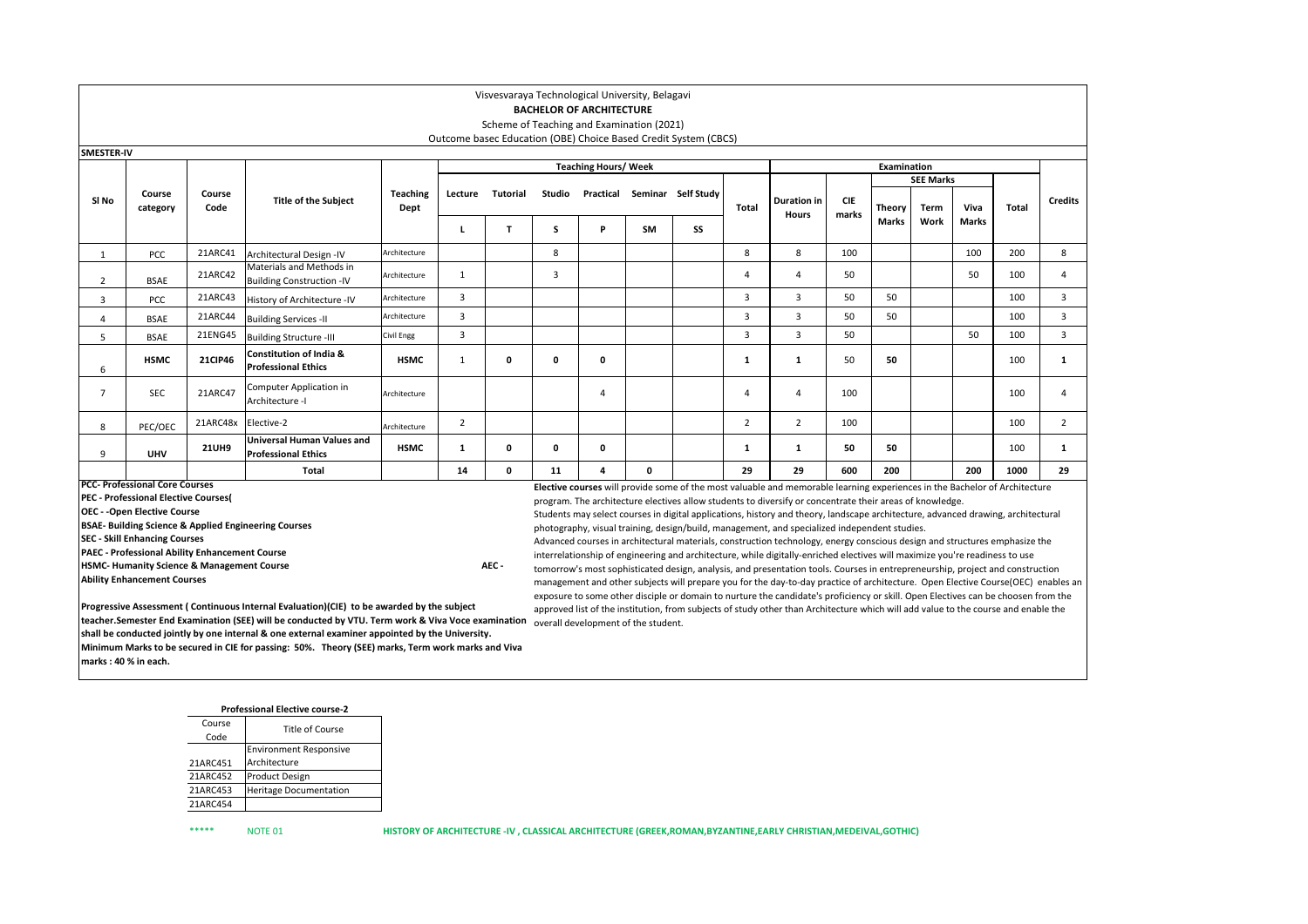|                                                                                                                                                                                                      |                                                                                                                                                                                                                                                                                                                                                                                                                                                                                                                                                                                                                                                                                                      |                |                                                                                                   |                                     |                         | Visvesvaraya Technological University, Belagavi |                | <b>BACHELOR OF ARCHITECTURE</b>                                                                                                                                                                                                                                                                                                                                                                                                                                                                                                                                                                                                                                                                                                                                                                                                                                                                                                                                                                                                                                                                                                                                                                                                                                                         |           |                                                                 |                |                                    |                     |             |                  |              |              |                |
|------------------------------------------------------------------------------------------------------------------------------------------------------------------------------------------------------|------------------------------------------------------------------------------------------------------------------------------------------------------------------------------------------------------------------------------------------------------------------------------------------------------------------------------------------------------------------------------------------------------------------------------------------------------------------------------------------------------------------------------------------------------------------------------------------------------------------------------------------------------------------------------------------------------|----------------|---------------------------------------------------------------------------------------------------|-------------------------------------|-------------------------|-------------------------------------------------|----------------|-----------------------------------------------------------------------------------------------------------------------------------------------------------------------------------------------------------------------------------------------------------------------------------------------------------------------------------------------------------------------------------------------------------------------------------------------------------------------------------------------------------------------------------------------------------------------------------------------------------------------------------------------------------------------------------------------------------------------------------------------------------------------------------------------------------------------------------------------------------------------------------------------------------------------------------------------------------------------------------------------------------------------------------------------------------------------------------------------------------------------------------------------------------------------------------------------------------------------------------------------------------------------------------------|-----------|-----------------------------------------------------------------|----------------|------------------------------------|---------------------|-------------|------------------|--------------|--------------|----------------|
|                                                                                                                                                                                                      |                                                                                                                                                                                                                                                                                                                                                                                                                                                                                                                                                                                                                                                                                                      |                |                                                                                                   |                                     |                         | Scheme of Teaching and Examination (2021)       |                |                                                                                                                                                                                                                                                                                                                                                                                                                                                                                                                                                                                                                                                                                                                                                                                                                                                                                                                                                                                                                                                                                                                                                                                                                                                                                         |           |                                                                 |                |                                    |                     |             |                  |              |              |                |
|                                                                                                                                                                                                      |                                                                                                                                                                                                                                                                                                                                                                                                                                                                                                                                                                                                                                                                                                      |                |                                                                                                   |                                     |                         |                                                 |                |                                                                                                                                                                                                                                                                                                                                                                                                                                                                                                                                                                                                                                                                                                                                                                                                                                                                                                                                                                                                                                                                                                                                                                                                                                                                                         |           | Outcome basec Education (OBE) Choice Based Credit System (CBCS) |                |                                    |                     |             |                  |              |              |                |
| SMESTER-IV                                                                                                                                                                                           |                                                                                                                                                                                                                                                                                                                                                                                                                                                                                                                                                                                                                                                                                                      |                |                                                                                                   |                                     |                         |                                                 |                |                                                                                                                                                                                                                                                                                                                                                                                                                                                                                                                                                                                                                                                                                                                                                                                                                                                                                                                                                                                                                                                                                                                                                                                                                                                                                         |           |                                                                 |                |                                    |                     |             |                  |              |              |                |
|                                                                                                                                                                                                      |                                                                                                                                                                                                                                                                                                                                                                                                                                                                                                                                                                                                                                                                                                      |                |                                                                                                   |                                     |                         |                                                 |                | <b>Teaching Hours/ Week</b>                                                                                                                                                                                                                                                                                                                                                                                                                                                                                                                                                                                                                                                                                                                                                                                                                                                                                                                                                                                                                                                                                                                                                                                                                                                             |           |                                                                 |                |                                    |                     | Examination |                  |              |              |                |
|                                                                                                                                                                                                      |                                                                                                                                                                                                                                                                                                                                                                                                                                                                                                                                                                                                                                                                                                      |                |                                                                                                   |                                     |                         |                                                 |                |                                                                                                                                                                                                                                                                                                                                                                                                                                                                                                                                                                                                                                                                                                                                                                                                                                                                                                                                                                                                                                                                                                                                                                                                                                                                                         |           |                                                                 |                |                                    |                     |             | <b>SEE Marks</b> |              |              |                |
| SI No                                                                                                                                                                                                | Course<br>category                                                                                                                                                                                                                                                                                                                                                                                                                                                                                                                                                                                                                                                                                   | Course<br>Code | <b>Title of the Subject</b>                                                                       | <b>Teaching</b><br>Dept             | Lecture                 | <b>Tutorial</b>                                 | Studio         |                                                                                                                                                                                                                                                                                                                                                                                                                                                                                                                                                                                                                                                                                                                                                                                                                                                                                                                                                                                                                                                                                                                                                                                                                                                                                         |           | Practical Seminar Self Study                                    | <b>Total</b>   | <b>Duration in</b><br><b>Hours</b> | <b>CIE</b><br>marks | Theory      | Term             | Viva         | <b>Total</b> | <b>Credits</b> |
|                                                                                                                                                                                                      |                                                                                                                                                                                                                                                                                                                                                                                                                                                                                                                                                                                                                                                                                                      |                |                                                                                                   |                                     | L                       | $\mathbf{T}$                                    | s              | P                                                                                                                                                                                                                                                                                                                                                                                                                                                                                                                                                                                                                                                                                                                                                                                                                                                                                                                                                                                                                                                                                                                                                                                                                                                                                       | <b>SM</b> | SS                                                              |                |                                    |                     | Marks       | Work             | <b>Marks</b> |              |                |
| 1                                                                                                                                                                                                    | PCC                                                                                                                                                                                                                                                                                                                                                                                                                                                                                                                                                                                                                                                                                                  | 21ARC41        | Architectural Design -IV                                                                          | Architecture                        |                         |                                                 | 8              |                                                                                                                                                                                                                                                                                                                                                                                                                                                                                                                                                                                                                                                                                                                                                                                                                                                                                                                                                                                                                                                                                                                                                                                                                                                                                         |           |                                                                 | 8              | 8                                  | 100                 |             |                  | 100          | 200          | 8              |
| $\overline{2}$                                                                                                                                                                                       | <b>BSAE</b>                                                                                                                                                                                                                                                                                                                                                                                                                                                                                                                                                                                                                                                                                          | 21ARC42        | Materials and Methods in<br><b>Building Construction -IV</b>                                      | Architecture                        | $\mathbf{1}$            |                                                 | $\overline{3}$ |                                                                                                                                                                                                                                                                                                                                                                                                                                                                                                                                                                                                                                                                                                                                                                                                                                                                                                                                                                                                                                                                                                                                                                                                                                                                                         |           |                                                                 | Δ              | $\overline{4}$                     | 50                  |             |                  | 50           | 100          | 4              |
| $\overline{3}$                                                                                                                                                                                       | PCC                                                                                                                                                                                                                                                                                                                                                                                                                                                                                                                                                                                                                                                                                                  | 21ARC43        | History of Architecture -IV                                                                       | Architecture                        | 3                       |                                                 |                |                                                                                                                                                                                                                                                                                                                                                                                                                                                                                                                                                                                                                                                                                                                                                                                                                                                                                                                                                                                                                                                                                                                                                                                                                                                                                         |           |                                                                 | 3              | $\overline{3}$                     | 50                  | 50          |                  |              | 100          | 3              |
| $\overline{4}$                                                                                                                                                                                       | <b>BSAE</b>                                                                                                                                                                                                                                                                                                                                                                                                                                                                                                                                                                                                                                                                                          | 21ARC44        | <b>Building Services -II</b>                                                                      | Architecture                        | $\overline{3}$          |                                                 |                |                                                                                                                                                                                                                                                                                                                                                                                                                                                                                                                                                                                                                                                                                                                                                                                                                                                                                                                                                                                                                                                                                                                                                                                                                                                                                         |           |                                                                 | $\overline{3}$ | $\overline{3}$                     | 50                  | 50          |                  |              | 100          | $\mathsf 3$    |
| 5                                                                                                                                                                                                    | <b>BSAE</b>                                                                                                                                                                                                                                                                                                                                                                                                                                                                                                                                                                                                                                                                                          | 21ENG45        | <b>Building Structure -III</b>                                                                    | Civil Engg                          | $\overline{\mathbf{3}}$ |                                                 |                |                                                                                                                                                                                                                                                                                                                                                                                                                                                                                                                                                                                                                                                                                                                                                                                                                                                                                                                                                                                                                                                                                                                                                                                                                                                                                         |           |                                                                 | 3              | $\overline{3}$                     | 50                  |             |                  | 50           | 100          | 3              |
| Constitution of India &<br><b>21CIP46</b><br>$\mathbf 0$<br>$\mathbf 0$<br>50<br><b>HSMC</b><br><b>HSMC</b><br>1<br>$\mathbf 0$<br>$\mathbf{1}$<br>50<br>100<br>1<br><b>Professional Ethics</b><br>6 |                                                                                                                                                                                                                                                                                                                                                                                                                                                                                                                                                                                                                                                                                                      |                |                                                                                                   |                                     |                         |                                                 |                |                                                                                                                                                                                                                                                                                                                                                                                                                                                                                                                                                                                                                                                                                                                                                                                                                                                                                                                                                                                                                                                                                                                                                                                                                                                                                         |           |                                                                 |                |                                    | $\mathbf{1}$        |             |                  |              |              |                |
| $\overline{7}$                                                                                                                                                                                       | <b>SEC</b>                                                                                                                                                                                                                                                                                                                                                                                                                                                                                                                                                                                                                                                                                           | 21ARC47        | Computer Application in<br>Architecture -I                                                        | <b>\rchitecture</b>                 |                         |                                                 |                | $\overline{4}$                                                                                                                                                                                                                                                                                                                                                                                                                                                                                                                                                                                                                                                                                                                                                                                                                                                                                                                                                                                                                                                                                                                                                                                                                                                                          |           |                                                                 | $\overline{a}$ | $\overline{4}$                     | 100                 |             |                  |              | 100          | 4              |
| 8                                                                                                                                                                                                    | PEC/OEC                                                                                                                                                                                                                                                                                                                                                                                                                                                                                                                                                                                                                                                                                              | 21ARC48x       | Elective-2                                                                                        | Architecture                        | $\overline{2}$          |                                                 |                |                                                                                                                                                                                                                                                                                                                                                                                                                                                                                                                                                                                                                                                                                                                                                                                                                                                                                                                                                                                                                                                                                                                                                                                                                                                                                         |           |                                                                 | $\overline{2}$ | $\overline{2}$                     | 100                 |             |                  |              | 100          | $\overline{2}$ |
| 9                                                                                                                                                                                                    | <b>UHV</b>                                                                                                                                                                                                                                                                                                                                                                                                                                                                                                                                                                                                                                                                                           | <b>21UH9</b>   | Universal Human Values and<br><b>Professional Ethics</b>                                          | <b>HSMC</b>                         | $\mathbf{1}$            | $\mathbf 0$                                     | $\mathbf{0}$   | $\mathbf{0}$                                                                                                                                                                                                                                                                                                                                                                                                                                                                                                                                                                                                                                                                                                                                                                                                                                                                                                                                                                                                                                                                                                                                                                                                                                                                            |           |                                                                 | 1              | $\mathbf{1}$                       | 50                  | 50          |                  |              | 100          | $\mathbf{1}$   |
|                                                                                                                                                                                                      |                                                                                                                                                                                                                                                                                                                                                                                                                                                                                                                                                                                                                                                                                                      |                | Total                                                                                             |                                     | 14                      | $\mathbf 0$                                     | 11             | 4                                                                                                                                                                                                                                                                                                                                                                                                                                                                                                                                                                                                                                                                                                                                                                                                                                                                                                                                                                                                                                                                                                                                                                                                                                                                                       | $\Omega$  |                                                                 | 29             | 29                                 | 600                 | 200         |                  | 200          | 1000         | 29             |
|                                                                                                                                                                                                      | <b>PCC- Professional Core Courses</b><br><b>PEC - Professional Elective Courses(</b><br><b>OEC - - Open Elective Course</b><br><b>BSAE- Building Science &amp; Applied Engineering Courses</b><br><b>SEC - Skill Enhancing Courses</b><br><b>PAEC - Professional Ability Enhancement Course</b><br><b>HSMC- Humanity Science &amp; Management Course</b><br><b>Ability Enhancement Courses</b><br>Progressive Assessment (Continuous Internal Evaluation)(CIE) to be awarded by the subject<br>teacher.Semester End Examination (SEE) will be conducted by VTU. Term work & Viva Voce examination<br>shall be conducted jointly by one internal & one external examiner appointed by the University. | AEC -          |                                                                                                   | overall development of the student. |                         |                                                 |                | Elective courses will provide some of the most valuable and memorable learning experiences in the Bachelor of Architecture<br>program. The architecture electives allow students to diversify or concentrate their areas of knowledge.<br>Students may select courses in digital applications, history and theory, landscape architecture, advanced drawing, architectural<br>photography, visual training, design/build, management, and specialized independent studies.<br>Advanced courses in architectural materials, construction technology, energy conscious design and structures emphasize the<br>interrelationship of engineering and architecture, while digitally-enriched electives will maximize you're readiness to use<br>tomorrow's most sophisticated design, analysis, and presentation tools. Courses in entrepreneurship, project and construction<br>management and other subjects will prepare you for the day-to-day practice of architecture. Open Elective Course(OEC) enables an<br>exposure to some other disciple or domain to nurture the candidate's proficiency or skill. Open Electives can be choosen from the<br>approved list of the institution, from subjects of study other than Architecture which will add value to the course and enable the |           |                                                                 |                |                                    |                     |             |                  |              |              |                |
|                                                                                                                                                                                                      | marks: 40 % in each.                                                                                                                                                                                                                                                                                                                                                                                                                                                                                                                                                                                                                                                                                 |                | Minimum Marks to be secured in CIE for passing: 50%. Theory (SEE) marks, Term work marks and Viva |                                     |                         |                                                 |                |                                                                                                                                                                                                                                                                                                                                                                                                                                                                                                                                                                                                                                                                                                                                                                                                                                                                                                                                                                                                                                                                                                                                                                                                                                                                                         |           |                                                                 |                |                                    |                     |             |                  |              |              |                |

|        | <b>Professional Elective course-2</b> |
|--------|---------------------------------------|
| Course | Title of Course                       |

| Code     | Title of Course               |
|----------|-------------------------------|
|          | <b>Environment Responsive</b> |
| 21ARC451 | Architecture                  |
| 21ARC452 | <b>Product Design</b>         |
| 21ARC453 | <b>Heritage Documentation</b> |
| 21ARC454 |                               |

\*\*\*\*\* NOTE 01 **HISTORY OF ARCHITECTURE -IV , CLASSICAL ARCHITECTURE (GREEK,ROMAN,BYZANTINE,EARLY CHRISTIAN,MEDEIVAL,GOTHIC)**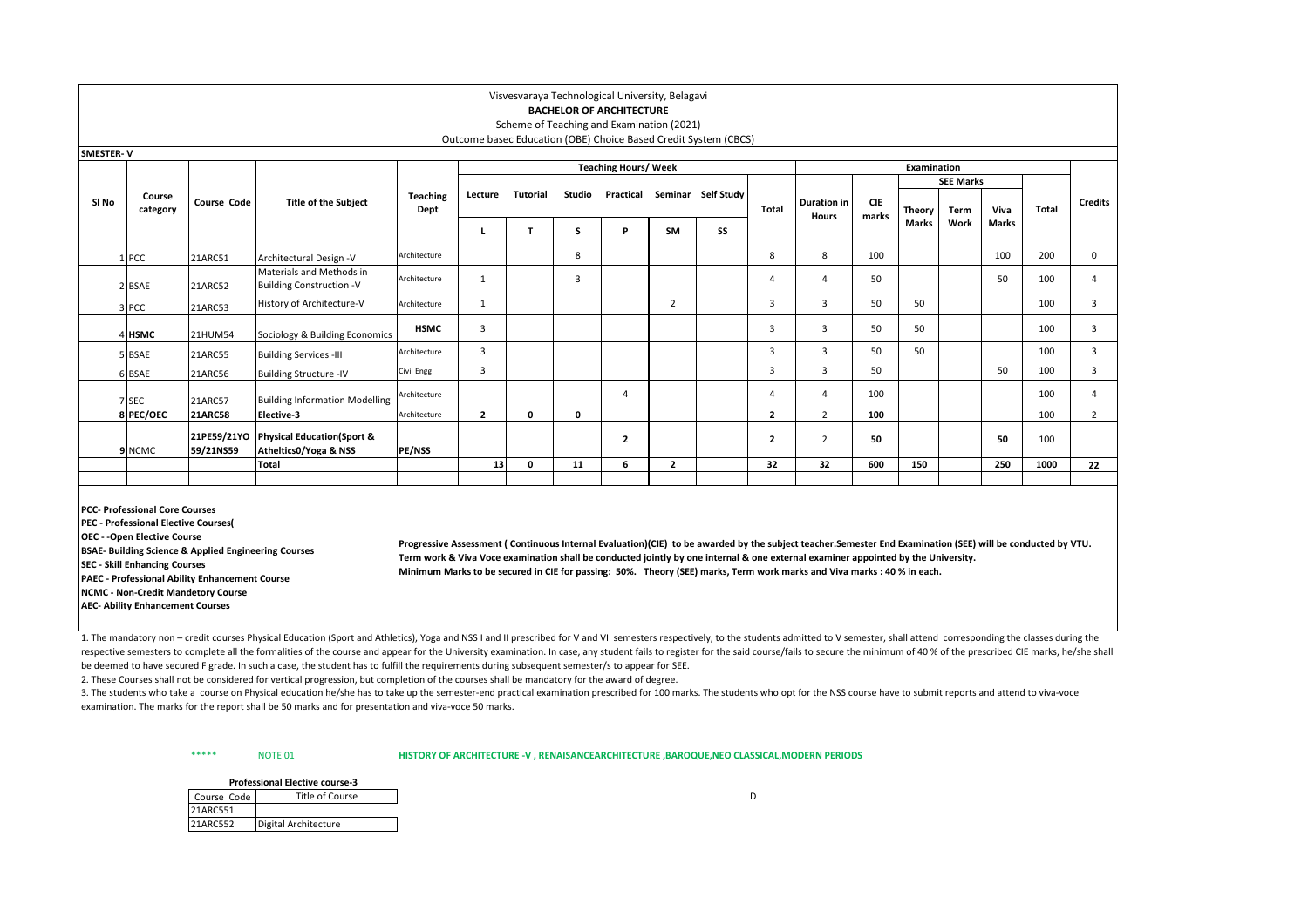# **BACHELOR OF ARCHITECTURE**

### Scheme of Teaching and Examination (2021) Outcome basec Education (OBE) Choice Based Credit System (CBCS)

| <b>SMESTER-V</b> |                    |                          |                                                                |                  |                |              |        |                             |                |                    |                |                                    |                     |             |                  |       |       |                |
|------------------|--------------------|--------------------------|----------------------------------------------------------------|------------------|----------------|--------------|--------|-----------------------------|----------------|--------------------|----------------|------------------------------------|---------------------|-------------|------------------|-------|-------|----------------|
|                  |                    |                          |                                                                |                  |                |              |        | <b>Teaching Hours/ Week</b> |                |                    |                |                                    |                     | Examination |                  |       |       |                |
|                  |                    |                          |                                                                |                  |                |              |        |                             |                |                    |                |                                    |                     |             | <b>SEE Marks</b> |       |       |                |
| SI No            | Course<br>category | Course Code              | <b>Title of the Subject</b>                                    | Teaching<br>Dept | Lecture        | Tutorial     | Studio | Practical                   |                | Seminar Self Study | Total          | <b>Duration in</b><br><b>Hours</b> | <b>CIE</b><br>marks | Theory      | Term             | Viva  | Total | <b>Credits</b> |
|                  |                    |                          |                                                                |                  |                |              |        | D                           | SM             | SS                 |                |                                    |                     | Marks       | Work             | Marks |       |                |
|                  | PCC                | 21ARC51                  | Architectural Design -V                                        | Architecture     |                |              | 8      |                             |                |                    | 8              | 8                                  | 100                 |             |                  | 100   | 200   | 0              |
|                  | 2 BSAE             | 21ARC52                  | Materials and Methods in<br><b>Building Construction -V</b>    | Architecture     |                |              |        |                             |                |                    | 4              | $\overline{a}$                     | 50                  |             |                  | 50    | 100   | 4              |
|                  | 3 PCC              | 21ARC53                  | History of Architecture-V                                      | Architecture     |                |              |        |                             | $\overline{2}$ |                    | 3              | 3                                  | 50                  | 50          |                  |       | 100   | 3              |
|                  | 4 HSMC             | 21HUM54                  | Sociology & Building Economics                                 | <b>HSMC</b>      | 3              |              |        |                             |                |                    | 3              | 3                                  | 50                  | 50          |                  |       | 100   | 3              |
|                  | 5 BSAE             | 21ARC55                  | <b>Building Services -III</b>                                  | Architecture     | 3              |              |        |                             |                |                    | 3              | 3                                  | 50                  | 50          |                  |       | 100   | 3              |
|                  | 6 BSAE             | 21ARC56                  | <b>Building Structure -IV</b>                                  | Civil Engg       | 3              |              |        |                             |                |                    | 3              | 3                                  | 50                  |             |                  | 50    | 100   | 3              |
|                  | 7 SEC              | 21ARC57                  | <b>Building Information Modelling</b>                          | Architecture     |                |              |        | 4                           |                |                    | 4              | $\overline{4}$                     | 100                 |             |                  |       | 100   | 4              |
|                  | 8 PEC/OEC          | <b>21ARC58</b>           | Elective-3                                                     | Architecture     | $\overline{2}$ | $\mathbf{0}$ | 0      |                             |                |                    | $\overline{2}$ | $\overline{2}$                     | 100                 |             |                  |       | 100   | $\overline{2}$ |
|                  | 9 NCMC             | 21PE59/21YO<br>59/21NS59 | <b>Physical Education(Sport &amp;</b><br>Atheltics0/Yoga & NSS | <b>PE/NSS</b>    |                |              |        | $\overline{\mathbf{c}}$     |                |                    | 2              | $\overline{2}$                     | 50                  |             |                  | 50    | 100   |                |
|                  |                    |                          | Total                                                          |                  | 13             | $\Omega$     | 11     | 6                           | $\overline{2}$ |                    | 32             | 32                                 | 600                 | 150         |                  | 250   | 1000  | 22             |
|                  |                    |                          |                                                                |                  |                |              |        |                             |                |                    |                |                                    |                     |             |                  |       |       |                |

**PCC- Professional Core Courses**

**PEC - Professional Elective Courses(** 

**OEC - -Open Elective Course**

**BSAE- Building Science & Applied Engineering Courses**

**SEC - Skill Enhancing Courses**

**PAEC - Professional Ability Enhancement Course**

**NCMC - Non-Credit Mandetory Course** 

**AEC- Ability Enhancement Courses**

**Progressive Assessment ( Continuous Internal Evaluation)(CIE) to be awarded by the subject teacher.Semester End Examination (SEE) will be conducted by VTU. Term work & Viva Voce examination shall be conducted jointly by one internal & one external examiner appointed by the University. Minimum Marks to be secured in CIE for passing: 50%. Theory (SEE) marks, Term work marks and Viva marks : 40 % in each.**

1. The mandatory non – credit courses Physical Education (Sport and Athletics). Yoga and NSS I and II prescribed for V and VI semesters respectively, to the students admitted to V semester, shall attend corresponding the c respective semesters to complete all the formalities of the course and appear for the University examination. In case, any student fails to register for the said course/fails to secure the minimum of 40 % of the prescribed be deemed to have secured F grade. In such a case, the student has to fulfill the requirements during subsequent semester/s to appear for SEE.

2. These Courses shall not be considered for vertical progression, but completion of the courses shall be mandatory for the award of degree.

3. The students who take a course on Physical education he/she has to take up the semester-end practical examination prescribed for 100 marks. The students who opt for the NSS course have to submit reports and attend to vi examination. The marks for the report shall be 50 marks and for presentation and viva-voce 50 marks.

\*\*\*\*\* NOTE 01 **HISTORY OF ARCHITECTURE -V , RENAISANCEARCHITECTURE ,BAROQUE,NEO CLASSICAL,MODERN PERIODS**

|             | <b>Professional Elective course-3</b> |  |
|-------------|---------------------------------------|--|
| Course Code | Title of Course                       |  |
| 21ARC551    |                                       |  |
| 21ARC552    | Digital Architecture                  |  |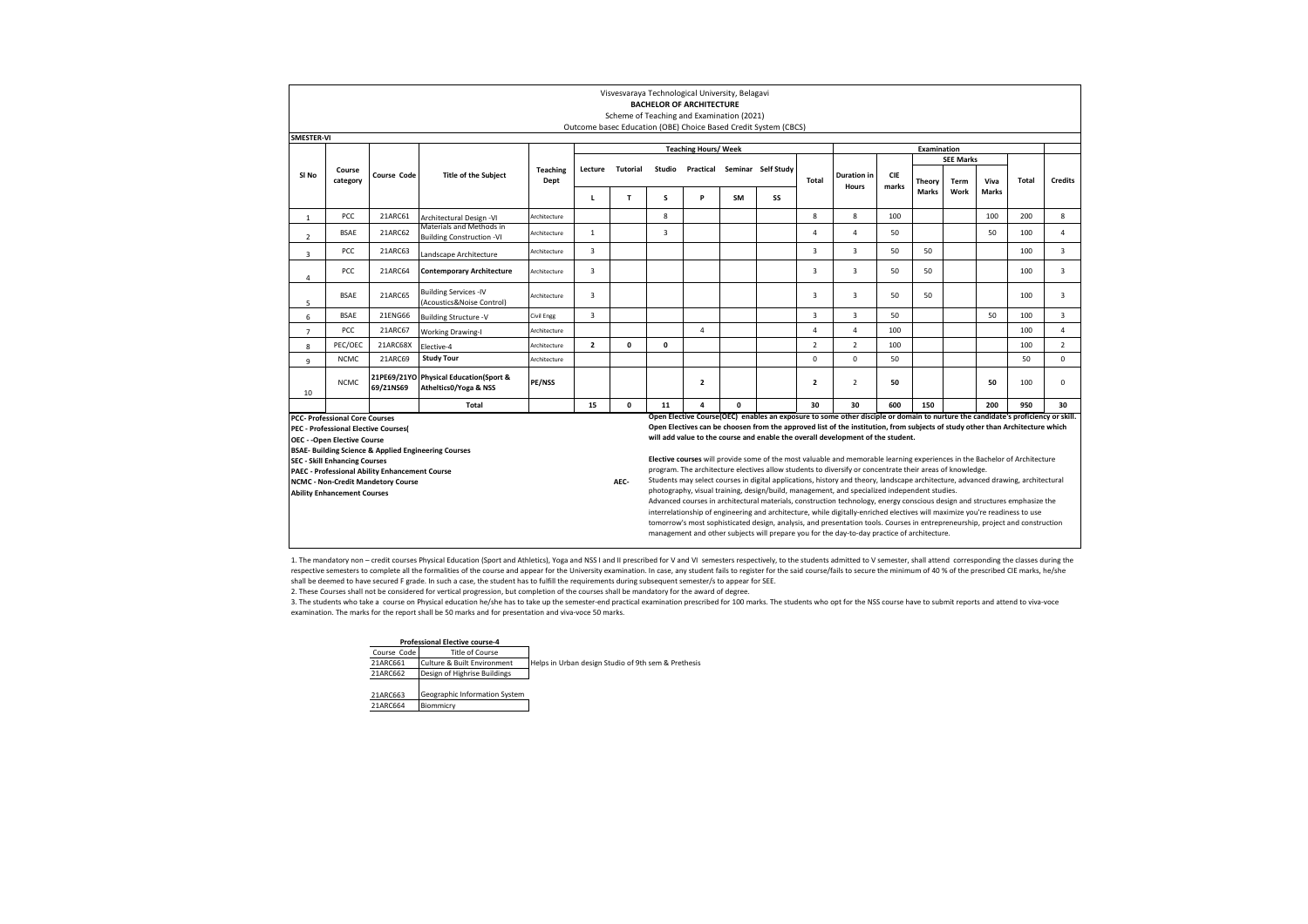|                                                                                                                                                                                                               |                                                                                                                                                                                         |                                                       |                                                                            |                         |                |                 |              | Visvesvaraya Technological University, Belagavi                              |                                                                                                                                  |                                                                 |                |                                                                                                                                                                                                                  |                     |             |                  |              |              |                |
|---------------------------------------------------------------------------------------------------------------------------------------------------------------------------------------------------------------|-----------------------------------------------------------------------------------------------------------------------------------------------------------------------------------------|-------------------------------------------------------|----------------------------------------------------------------------------|-------------------------|----------------|-----------------|--------------|------------------------------------------------------------------------------|----------------------------------------------------------------------------------------------------------------------------------|-----------------------------------------------------------------|----------------|------------------------------------------------------------------------------------------------------------------------------------------------------------------------------------------------------------------|---------------------|-------------|------------------|--------------|--------------|----------------|
|                                                                                                                                                                                                               |                                                                                                                                                                                         |                                                       |                                                                            |                         |                |                 |              | <b>BACHELOR OF ARCHITECTURE</b><br>Scheme of Teaching and Examination (2021) |                                                                                                                                  |                                                                 |                |                                                                                                                                                                                                                  |                     |             |                  |              |              |                |
|                                                                                                                                                                                                               |                                                                                                                                                                                         |                                                       |                                                                            |                         |                |                 |              |                                                                              |                                                                                                                                  | Outcome basec Education (OBE) Choice Based Credit System (CBCS) |                |                                                                                                                                                                                                                  |                     |             |                  |              |              |                |
| <b>SMESTER-VI</b>                                                                                                                                                                                             |                                                                                                                                                                                         |                                                       |                                                                            |                         |                |                 |              |                                                                              |                                                                                                                                  |                                                                 |                |                                                                                                                                                                                                                  |                     |             |                  |              |              |                |
|                                                                                                                                                                                                               |                                                                                                                                                                                         |                                                       |                                                                            |                         |                |                 |              | <b>Teaching Hours/ Week</b>                                                  |                                                                                                                                  |                                                                 |                |                                                                                                                                                                                                                  |                     | Examination |                  |              |              |                |
|                                                                                                                                                                                                               |                                                                                                                                                                                         |                                                       |                                                                            |                         |                |                 |              |                                                                              |                                                                                                                                  |                                                                 |                |                                                                                                                                                                                                                  |                     |             | <b>SEE Marks</b> |              |              |                |
| SI No                                                                                                                                                                                                         | Course<br>category                                                                                                                                                                      | Course Code                                           | <b>Title of the Subject</b>                                                | <b>Teaching</b><br>Dept | Lecture        | <b>Tutorial</b> | Studio       | Practical                                                                    |                                                                                                                                  | Seminar Self Study                                              | Total          | <b>Duration</b> in<br>Hours                                                                                                                                                                                      | <b>CIE</b><br>marks | Theory      | Term             | Viva         | <b>Total</b> | <b>Credits</b> |
|                                                                                                                                                                                                               |                                                                                                                                                                                         |                                                       |                                                                            |                         | L              | T.              | s            | P                                                                            | <b>SM</b>                                                                                                                        | SS                                                              |                |                                                                                                                                                                                                                  |                     | Marks       | Work             | <b>Marks</b> |              |                |
| $\mathbf{1}$                                                                                                                                                                                                  | <b>PCC</b>                                                                                                                                                                              | 21ARC61                                               | Architectural Design -VI                                                   | Architecture            |                |                 | 8            |                                                                              |                                                                                                                                  |                                                                 | 8              | 8                                                                                                                                                                                                                | 100                 |             |                  | 100          | 200          | 8              |
| Materials and Methods in<br><b>BSAE</b><br>21ARC62<br>$\mathbf{1}$<br>$\overline{\mathbf{3}}$<br>50<br>50<br>100<br>$\overline{4}$<br>Δ<br>Architecture<br><b>Building Construction -VI</b><br>$\overline{2}$ |                                                                                                                                                                                         |                                                       |                                                                            |                         |                |                 |              |                                                                              |                                                                                                                                  |                                                                 |                |                                                                                                                                                                                                                  | 4                   |             |                  |              |              |                |
| 3                                                                                                                                                                                                             | PCC                                                                                                                                                                                     | 21ARC63                                               | Landscape Architecture                                                     | Architecture            | 3              |                 |              |                                                                              |                                                                                                                                  |                                                                 | $\overline{3}$ | $\overline{\mathbf{3}}$                                                                                                                                                                                          | 50                  | 50          |                  |              | 100          | 3              |
| 4                                                                                                                                                                                                             | 3<br><b>PCC</b><br>21ARC64<br>3<br>3<br>50<br>50<br>100<br>3<br><b>Contemporary Architecture</b><br>Architecture                                                                        |                                                       |                                                                            |                         |                |                 |              |                                                                              |                                                                                                                                  |                                                                 |                |                                                                                                                                                                                                                  |                     |             |                  |              |              |                |
| <b>Building Services -IV</b><br>21ARC65<br>3<br>3<br>3<br><b>BSAE</b><br>3<br>50<br>50<br>100<br>Architecture<br>(Acoustics&Noise Control)<br>5                                                               |                                                                                                                                                                                         |                                                       |                                                                            |                         |                |                 |              |                                                                              |                                                                                                                                  |                                                                 |                |                                                                                                                                                                                                                  |                     |             |                  |              |              |                |
| 6                                                                                                                                                                                                             | <b>BSAE</b>                                                                                                                                                                             | 21ENG66                                               | <b>Building Structure -V</b>                                               | Civil Engg              | 3              |                 |              |                                                                              |                                                                                                                                  |                                                                 | $\overline{3}$ | $\overline{\mathbf{3}}$                                                                                                                                                                                          | 50                  |             |                  | 50           | 100          | 3              |
| $\overline{7}$                                                                                                                                                                                                | PCC                                                                                                                                                                                     | 21ARC67                                               | <b>Working Drawing-I</b>                                                   | Architecture            |                |                 |              | $\overline{a}$                                                               |                                                                                                                                  |                                                                 | 4              | $\overline{a}$                                                                                                                                                                                                   | 100                 |             |                  |              | 100          | 4              |
| 8                                                                                                                                                                                                             | PEC/OEC                                                                                                                                                                                 | 21ARC68X                                              | Elective-4                                                                 | Architecture            | $\overline{2}$ | 0               | $\mathbf{0}$ |                                                                              |                                                                                                                                  |                                                                 | $\overline{2}$ | $\overline{2}$                                                                                                                                                                                                   | 100                 |             |                  |              | 100          | $\overline{2}$ |
| 9                                                                                                                                                                                                             | <b>NCMC</b>                                                                                                                                                                             | 21ARC69                                               | <b>Study Tour</b>                                                          | Architecture            |                |                 |              |                                                                              |                                                                                                                                  |                                                                 | $\Omega$       | $\Omega$                                                                                                                                                                                                         | 50                  |             |                  |              | 50           | $^{\circ}$     |
| 10                                                                                                                                                                                                            | NCMC                                                                                                                                                                                    | 69/21NS69                                             | 21PE69/21YO Physical Education(Sport &<br><b>Atheltics0/Yoga &amp; NSS</b> | PE/NSS                  |                |                 |              | $\overline{2}$                                                               |                                                                                                                                  |                                                                 | $\overline{2}$ | $\mathcal{P}$                                                                                                                                                                                                    | 50                  |             |                  | 50           | 100          | 0              |
|                                                                                                                                                                                                               |                                                                                                                                                                                         |                                                       | <b>Total</b>                                                               |                         | 15             | 0               | 11           | $\Delta$                                                                     | $\Omega$                                                                                                                         |                                                                 | 30             | 30                                                                                                                                                                                                               | 600                 | 150         |                  | 200          | 950          | 30             |
|                                                                                                                                                                                                               | <b>PCC- Professional Core Courses</b>                                                                                                                                                   |                                                       |                                                                            |                         |                |                 |              |                                                                              |                                                                                                                                  |                                                                 |                | Open Elective Course(OEC) enables an exposure to some other disciple or domain to nurture the candidate's proficiency or skill.                                                                                  |                     |             |                  |              |              |                |
|                                                                                                                                                                                                               | <b>PEC - Professional Elective Courses(</b>                                                                                                                                             |                                                       |                                                                            |                         |                |                 |              |                                                                              |                                                                                                                                  |                                                                 |                | Open Electives can be choosen from the approved list of the institution, from subjects of study other than Architecture which<br>will add value to the course and enable the overall development of the student. |                     |             |                  |              |              |                |
|                                                                                                                                                                                                               | <b>OEC - - Open Elective Course</b>                                                                                                                                                     |                                                       |                                                                            |                         |                |                 |              |                                                                              |                                                                                                                                  |                                                                 |                |                                                                                                                                                                                                                  |                     |             |                  |              |              |                |
|                                                                                                                                                                                                               | <b>SEC - Skill Enhancing Courses</b>                                                                                                                                                    |                                                       | BSAE- Building Science & Applied Engineering Courses                       |                         |                |                 |              |                                                                              |                                                                                                                                  |                                                                 |                | Elective courses will provide some of the most valuable and memorable learning experiences in the Bachelor of Architecture                                                                                       |                     |             |                  |              |              |                |
|                                                                                                                                                                                                               |                                                                                                                                                                                         | <b>PAEC - Professional Ability Enhancement Course</b> |                                                                            |                         |                |                 |              |                                                                              |                                                                                                                                  |                                                                 |                | program. The architecture electives allow students to diversify or concentrate their areas of knowledge.                                                                                                         |                     |             |                  |              |              |                |
|                                                                                                                                                                                                               |                                                                                                                                                                                         |                                                       |                                                                            |                         |                |                 |              |                                                                              | Students may select courses in digital applications, history and theory, landscape architecture, advanced drawing, architectural |                                                                 |                |                                                                                                                                                                                                                  |                     |             |                  |              |              |                |
|                                                                                                                                                                                                               | AEC-<br><b>NCMC - Non-Credit Mandetory Course</b><br>photography, visual training, design/build, management, and specialized independent studies.<br><b>Ability Enhancement Courses</b> |                                                       |                                                                            |                         |                |                 |              |                                                                              |                                                                                                                                  |                                                                 |                |                                                                                                                                                                                                                  |                     |             |                  |              |              |                |
|                                                                                                                                                                                                               |                                                                                                                                                                                         |                                                       |                                                                            |                         |                |                 |              |                                                                              |                                                                                                                                  |                                                                 |                | Advanced courses in architectural materials, construction technology, energy conscious design and structures emphasize the                                                                                       |                     |             |                  |              |              |                |
|                                                                                                                                                                                                               |                                                                                                                                                                                         |                                                       |                                                                            |                         |                |                 |              |                                                                              |                                                                                                                                  |                                                                 |                | interrelationship of engineering and architecture, while digitally-enriched electives will maximize you're readiness to use                                                                                      |                     |             |                  |              |              |                |
|                                                                                                                                                                                                               |                                                                                                                                                                                         |                                                       |                                                                            |                         |                |                 |              |                                                                              |                                                                                                                                  |                                                                 |                | tomorrow's most sophisticated design, analysis, and presentation tools. Courses in entrepreneurship, project and construction                                                                                    |                     |             |                  |              |              |                |
|                                                                                                                                                                                                               |                                                                                                                                                                                         |                                                       |                                                                            |                         |                |                 |              |                                                                              |                                                                                                                                  |                                                                 |                | management and other subjects will prepare you for the day-to-day practice of architecture.                                                                                                                      |                     |             |                  |              |              |                |

1. The mandatory non - credit courses Physical Education (Sport and Athletics), Yoga and NSS I and II prescribed for V and VI semesters respectively, to the students admitted to V semester, shall attend corresponding the c respective semesters to complete all the formalities of the course and appear for the University examination. In case, any student fails to register for the said course/fails to secure the minimum of 40 % of the prescribed shall be deemed to have secured F grade. In such a case, the student has to fulfill the requirements during subsequent semester/s to appear for SEE.

2. These Courses shall not be considered for vertical progression, but completion of the courses shall be mandatory for the award of degree.

3. The students who take a course on Physical education he/she has to take up the semester-end practical examination prescribed for 100 marks. The students who opt for the NSS course have to submit reports and attend to vi examination. The marks for the report shall be 50 marks and for presentation and viva-voce 50 marks.

#### **Professional Elective course-4**

Course Code<br>
21ARC661 Culture & Built Environment Helps in Urban design Studio of 9th sem & Prethesis 21ARC662 Design of Highrise Buildings

| 21ARC663 | Geographic Information System |
|----------|-------------------------------|
| 21ARC664 | Biommicry                     |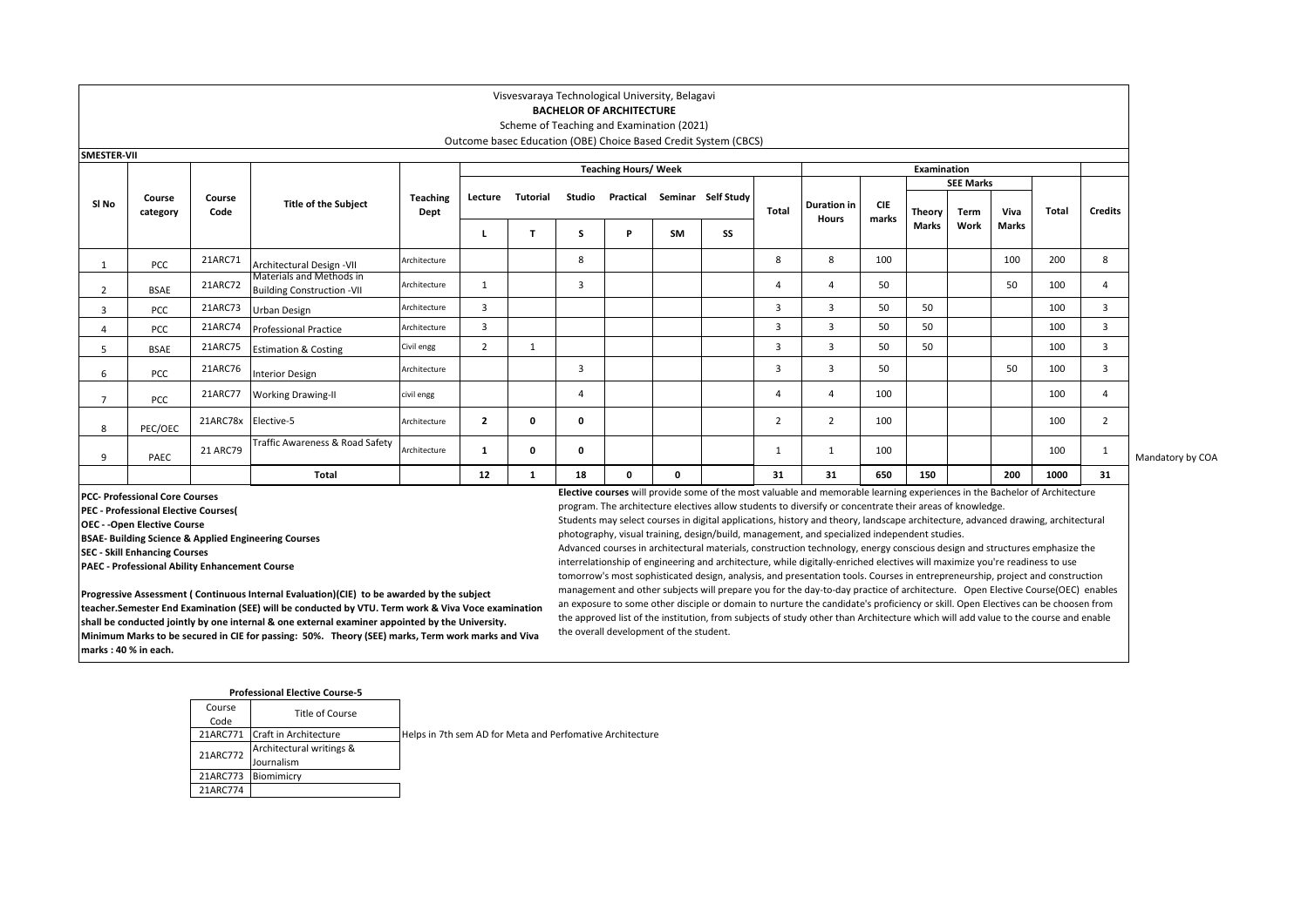# **BACHELOR OF ARCHITECTURE**

### Scheme of Teaching and Examination (2021) Outcome basec Education (OBE) Choice Based Credit System (CBCS)

| <b>SMESTER-VII</b> | <b>Teaching Hours/ Week</b><br>Examination |                     |                                                               |                         |                |          |        |           |           |                    |                |                                    |                     |        |                  |       |              |                |
|--------------------|--------------------------------------------|---------------------|---------------------------------------------------------------|-------------------------|----------------|----------|--------|-----------|-----------|--------------------|----------------|------------------------------------|---------------------|--------|------------------|-------|--------------|----------------|
|                    |                                            |                     |                                                               |                         |                |          |        |           |           |                    |                |                                    |                     |        |                  |       |              |                |
|                    |                                            |                     |                                                               |                         |                |          |        |           |           |                    |                |                                    |                     |        | <b>SEE Marks</b> |       |              |                |
| SI No              | Course<br>category                         | Course<br>Code      | <b>Title of the Subject</b>                                   | <b>Teaching</b><br>Dept | Lecture        | Tutorial | Studio | Practical |           | Seminar Self Study | Total          | <b>Duration</b> in<br><b>Hours</b> | <b>CIE</b><br>marks | Theory | Term             | Viva  | <b>Total</b> | <b>Credits</b> |
|                    |                                            |                     |                                                               |                         |                |          | S      |           | <b>SM</b> | SS                 |                |                                    |                     | Marks  | Work             | Marks |              |                |
|                    | <b>PCC</b>                                 | 21ARC71             | Architectural Design -VII                                     | Architecture            |                |          | 8      |           |           |                    | 8              | 8                                  | 100                 |        |                  | 100   | 200          | 8              |
| $\overline{2}$     | <b>BSAE</b>                                | 21ARC72             | Materials and Methods in<br><b>Building Construction -VII</b> | Architecture            |                |          | 3      |           |           |                    | 4              | $\Delta$                           | 50                  |        |                  | 50    | 100          | $\overline{a}$ |
| $\overline{3}$     | <b>PCC</b>                                 | 21ARC73             | Urban Design                                                  | Architecture            | 3              |          |        |           |           |                    | $\overline{3}$ | $\overline{3}$                     | 50                  | 50     |                  |       | 100          | 3              |
|                    | <b>PCC</b>                                 | 21ARC74             | <b>Professional Practice</b>                                  | Architecture            | 3              |          |        |           |           |                    | 3              | 3                                  | 50                  | 50     |                  |       | 100          | 3              |
| 5                  | <b>BSAE</b>                                | 21ARC75             | <b>Estimation &amp; Costing</b>                               | Civil engg              | 2              | 1        |        |           |           |                    |                | 3                                  | 50                  | 50     |                  |       | 100          | 3              |
| 6                  | <b>PCC</b>                                 | 21ARC76             | <b>Interior Design</b>                                        | Architecture            |                |          | 3      |           |           |                    |                | 3                                  | 50                  |        |                  | 50    | 100          | 3              |
|                    | <b>PCC</b>                                 | 21ARC77             | <b>Working Drawing-II</b>                                     | civil engg              |                |          |        |           |           |                    | 4              | 4                                  | 100                 |        |                  |       | 100          | $\overline{a}$ |
| 8                  | PEC/OEC                                    | 21ARC78x Elective-5 |                                                               | Architecture            | $\overline{2}$ | 0        | 0      |           |           |                    |                | $\overline{2}$                     | 100                 |        |                  |       | 100          | $\overline{2}$ |
| 9                  | PAEC                                       | 21 ARC79            | Traffic Awareness & Road Safety                               | Architecture            | 1              | 0        | 0      |           |           |                    |                |                                    | 100                 |        |                  |       | 100          |                |
|                    |                                            |                     | Total                                                         |                         | 12             |          | 18     |           | 0         |                    | 31             | 31                                 | 650                 | 150    |                  | 200   | 1000         | 31             |

Mandatory by COA

**PCC- Professional Core Courses**

**PEC - Professional Elective Courses(** 

**OEC - -Open Elective Course**

**BSAE- Building Science & Applied Engineering Courses**

**SEC - Skill Enhancing Courses**

**PAEC - Professional Ability Enhancement Course**

**Progressive Assessment ( Continuous Internal Evaluation)(CIE) to be awarded by the subject teacher.Semester End Examination (SEE) will be conducted by VTU. Term work & Viva Voce examination shall be conducted jointly by one internal & one external examiner appointed by the University. Minimum Marks to be secured in CIE for passing: 50%. Theory (SEE) marks, Term work marks and Viva marks : 40 % in each.**

### **Elective courses** will provide some of the most valuable and memorable learning experiences in the Bachelor of Architecture program. The architecture electives allow students to diversify or concentrate their areas of knowledge.

Students may select courses in digital applications, history and theory, landscape architecture, advanced drawing, architectural photography, visual training, design/build, management, and specialized independent studies.

Advanced courses in architectural materials, construction technology, energy conscious design and structures emphasize the interrelationship of engineering and architecture, while digitally-enriched electives will maximize you're readiness to use tomorrow's most sophisticated design, analysis, and presentation tools. Courses in entrepreneurship, project and construction management and other subjects will prepare you for the day-to-day practice of architecture. Open Elective Course(OEC) enables an exposure to some other disciple or domain to nurture the candidate's proficiency or skill. Open Electives can be choosen from the approved list of the institution, from subjects of study other than Architecture which will add value to the course and enable the overall development of the student.

|          | <b>Professional Elective Course-5</b> |                                                           |
|----------|---------------------------------------|-----------------------------------------------------------|
| Course   | Title of Course                       |                                                           |
| Code     |                                       |                                                           |
| 21ARC771 | Craft in Architecture                 | Helps in 7th sem AD for Meta and Perfomative Architecture |
| 21ARC772 | Architectural writings &              |                                                           |
|          | Journalism                            |                                                           |
| 21ARC773 | Biomimicry                            |                                                           |
| 21ARC774 |                                       |                                                           |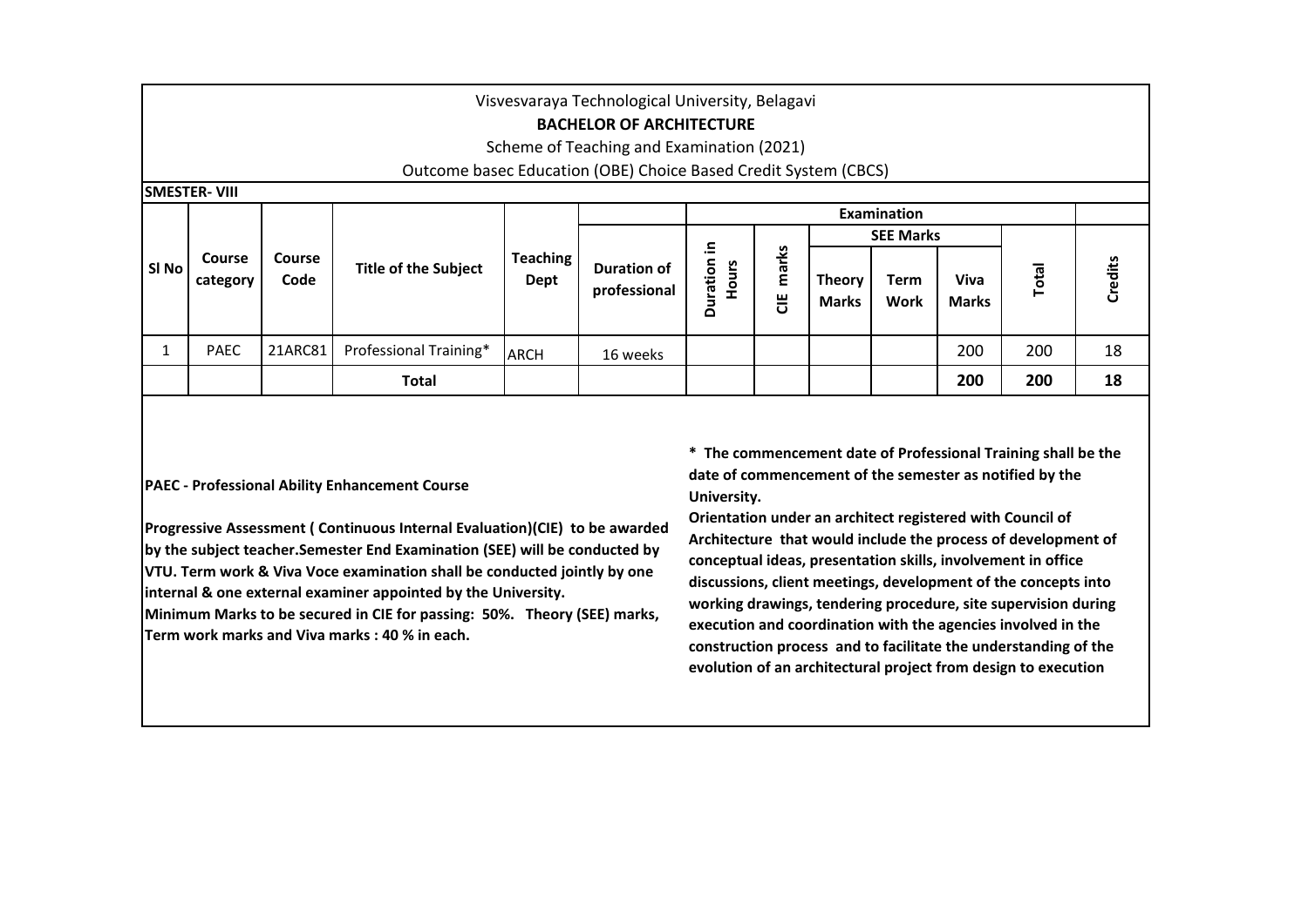| Visvesvaraya Technological University, Belagavi<br><b>BACHELOR OF ARCHITECTURE</b><br>Scheme of Teaching and Examination (2021) |                      |                       |                             |                         |                             |                         |            |                               |                            |                      |              |         |  |
|---------------------------------------------------------------------------------------------------------------------------------|----------------------|-----------------------|-----------------------------|-------------------------|-----------------------------|-------------------------|------------|-------------------------------|----------------------------|----------------------|--------------|---------|--|
| Outcome basec Education (OBE) Choice Based Credit System (CBCS)                                                                 |                      |                       |                             |                         |                             |                         |            |                               |                            |                      |              |         |  |
|                                                                                                                                 | <b>ISMESTER-VIII</b> |                       |                             |                         |                             |                         |            |                               |                            |                      |              |         |  |
|                                                                                                                                 |                      |                       |                             |                         |                             |                         |            |                               | <b>Examination</b>         |                      |              |         |  |
|                                                                                                                                 |                      |                       |                             |                         |                             |                         |            |                               | <b>SEE Marks</b>           |                      |              |         |  |
| SI No                                                                                                                           | Course<br>category   | <b>Course</b><br>Code | <b>Title of the Subject</b> | <b>Teaching</b><br>Dept | Duration of<br>professional | 크.<br>Duration<br>Hours | marks<br>ី | <b>Theory</b><br><b>Marks</b> | <b>Term</b><br><b>Work</b> | Viva<br><b>Marks</b> | <b>Total</b> | Credits |  |
| Ŧ.                                                                                                                              | <b>PAEC</b>          | 21ARC81               | Professional Training*      | <b>ARCH</b>             | 16 weeks                    |                         |            |                               |                            | 200                  | 200          | 18      |  |
|                                                                                                                                 |                      |                       | <b>Total</b>                |                         |                             |                         |            |                               |                            | 200                  | 200          | 18      |  |

# **PAEC - Professional Ability Enhancement Course**

**Progressive Assessment ( Continuous Internal Evaluation)(CIE) to be awarded by the subject teacher.Semester End Examination (SEE) will be conducted by VTU. Term work & Viva Voce examination shall be conducted jointly by one internal & one external examiner appointed by the University.**

**Minimum Marks to be secured in CIE for passing: 50%. Theory (SEE) marks, Term work marks and Viva marks : 40 % in each.**

**\* The commencement date of Professional Training shall be the date of commencement of the semester as notified by the University.** 

**Orientation under an architect registered with Council of Architecture that would include the process of development of conceptual ideas, presentation skills, involvement in office discussions, client meetings, development of the concepts into working drawings, tendering procedure, site supervision during execution and coordination with the agencies involved in the construction process and to facilitate the understanding of the evolution of an architectural project from design to execution**<br> **evolution**<br> **evolution**<br> **evolution**<br> **evolution**<br> **evolution in Architecture** that of Professional Training shall be to date of commencement date of Profe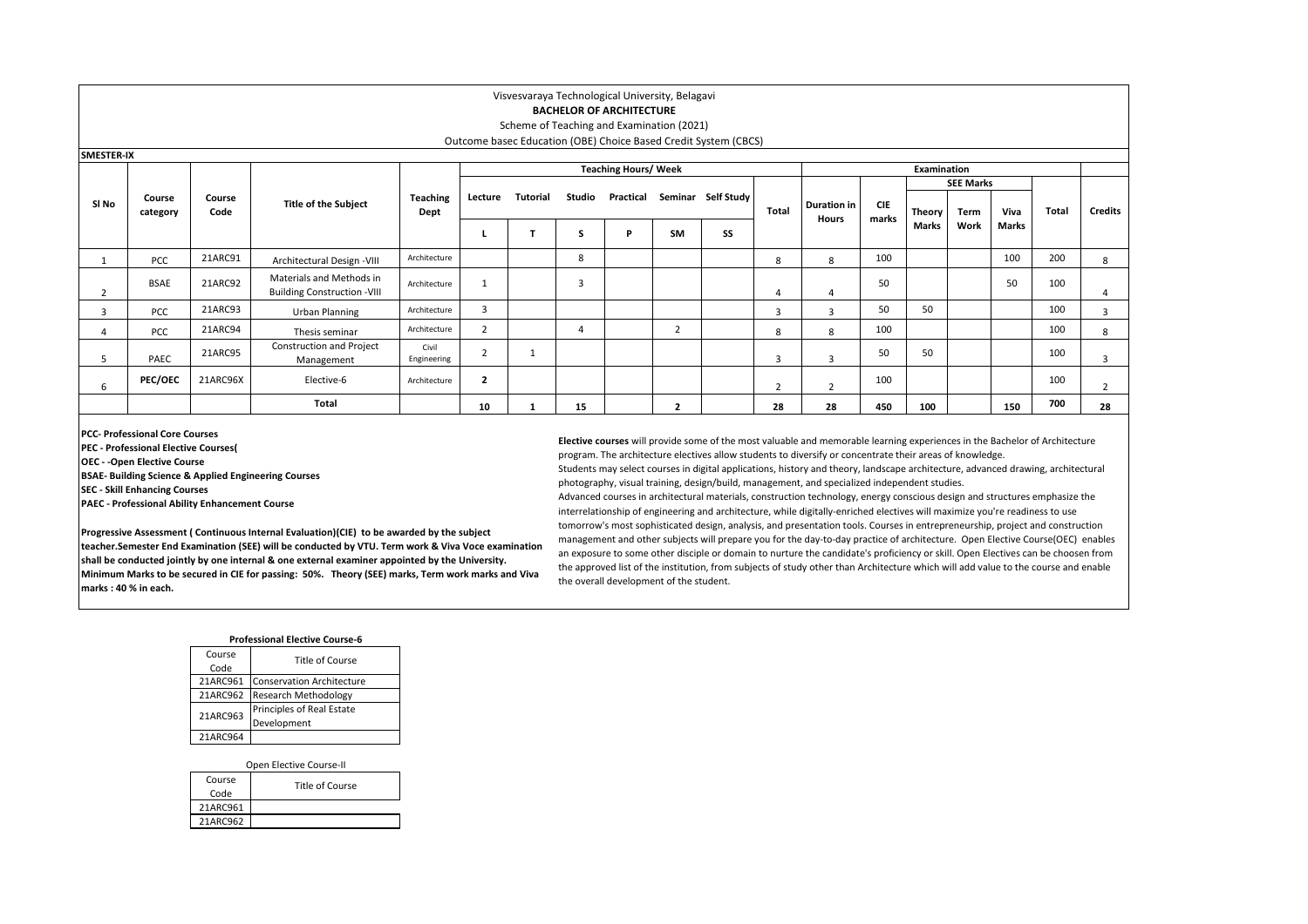## **BACHELOR OF ARCHITECTURE**

#### Scheme of Teaching and Examination (2021) Outcome basec Education (OBE) Choice Based Credit System (CBCS)

| Outcome based Education (OBE) Choice Based Credit System (CBCS) |  |  |
|-----------------------------------------------------------------|--|--|
|                                                                 |  |  |

|       | <b>SMESTER-IX</b><br><b>Teaching Hours/ Week</b> |                |                                                                |                         |              |          |                |             |                |                    |                |                             |                     |                        |      |               |       |                |
|-------|--------------------------------------------------|----------------|----------------------------------------------------------------|-------------------------|--------------|----------|----------------|-------------|----------------|--------------------|----------------|-----------------------------|---------------------|------------------------|------|---------------|-------|----------------|
|       |                                                  |                | <b>Title of the Subject</b>                                    |                         |              |          |                | Examination |                |                    |                |                             |                     |                        |      |               |       |                |
|       |                                                  |                |                                                                |                         |              |          |                |             |                |                    | Total          | <b>Duration in</b><br>Hours |                     | <b>SEE Marks</b>       |      |               |       |                |
| SI No | Course<br>category                               | Course<br>Code |                                                                | <b>Teaching</b><br>Dept | Lecture      | Tutorial | Studio         | Practical   |                | Seminar Self Study |                |                             | <b>CIE</b><br>marks | <b>Theory</b><br>Marks | Term | Viva<br>Marks | Total | <b>Credits</b> |
|       |                                                  |                |                                                                |                         |              |          | ь              | D           | SM             | SS                 |                |                             |                     |                        | Work |               |       |                |
|       | <b>PCC</b>                                       | 21ARC91        | Architectural Design -VIII                                     | Architecture            |              |          | 8              |             |                |                    | 8              | 8                           | 100                 |                        |      | 100           | 200   | 8              |
|       | <b>BSAE</b>                                      | 21ARC92        | Materials and Methods in<br><b>Building Construction -VIII</b> | Architecture            |              |          | $\overline{3}$ |             |                |                    |                | 4                           | 50                  |                        |      | 50            | 100   |                |
| 3     | <b>PCC</b>                                       | 21ARC93        | Urban Planning                                                 | Architecture            | 3            |          |                |             |                |                    | 3              | 3                           | 50                  | 50                     |      |               | 100   | 3              |
|       | <b>PCC</b>                                       | 21ARC94        | Thesis seminar                                                 | Architecture            |              |          |                |             | $\overline{2}$ |                    | 8              | 8                           | 100                 |                        |      |               | 100   | 8              |
|       | PAEC                                             | 21ARC95        | Construction and Project<br>Management                         | Civil<br>Engineering    |              |          |                |             |                |                    | 3              | 3                           | 50                  | 50                     |      |               | 100   | 3              |
| 6     | <b>PEC/OEC</b>                                   | 21ARC96X       | Elective-6                                                     | Architecture            | $\mathbf{2}$ |          |                |             |                |                    | $\overline{2}$ |                             | 100                 |                        |      |               | 100   |                |
|       |                                                  |                | Total                                                          |                         | 10           |          | 15             |             |                |                    | 28             | 28                          | 450                 | 100                    |      | 150           | 700   | 28             |

**PCC- Professional Core Courses**

**PEC - Professional Elective Courses(** 

**OEC - -Open Elective Course**

**BSAE- Building Science & Applied Engineering Courses**

**SEC - Skill Enhancing Courses**

**PAEC - Professional Ability Enhancement Course**

**Progressive Assessment ( Continuous Internal Evaluation)(CIE) to be awarded by the subject teacher.Semester End Examination (SEE) will be conducted by VTU. Term work & Viva Voce examination shall be conducted jointly by one internal & one external examiner appointed by the University. Minimum Marks to be secured in CIE for passing: 50%. Theory (SEE) marks, Term work marks and Viva marks : 40 % in each.**

**Elective courses** will provide some of the most valuable and memorable learning experiences in the Bachelor of Architecture program. The architecture electives allow students to diversify or concentrate their areas of knowledge.

Students may select courses in digital applications, history and theory, landscape architecture, advanced drawing, architectural photography, visual training, design/build, management, and specialized independent studies.

Advanced courses in architectural materials, construction technology, energy conscious design and structures emphasize the interrelationship of engineering and architecture, while digitally-enriched electives will maximize you're readiness to use tomorrow's most sophisticated design, analysis, and presentation tools. Courses in entrepreneurship, project and construction management and other subjects will prepare you for the day-to-day practice of architecture. Open Elective Course(OEC) enables an exposure to some other disciple or domain to nurture the candidate's proficiency or skill. Open Electives can be choosen from the approved list of the institution, from subjects of study other than Architecture which will add value to the course and enable the overall development of the student.

#### **Course Professional Elective Course-6**

|  |          | Title of Course                  |
|--|----------|----------------------------------|
|  | Code     |                                  |
|  | 21ARC961 | <b>Conservation Architecture</b> |
|  | 21ARC962 | <b>Research Methodology</b>      |
|  | 21ARC963 | Principles of Real Estate        |
|  |          | Development                      |
|  | 21ARC964 |                                  |

Open Elective Course-II

| Course<br>Code | Title of Course |
|----------------|-----------------|
| 21ARC961       |                 |
| 21ARC962       |                 |